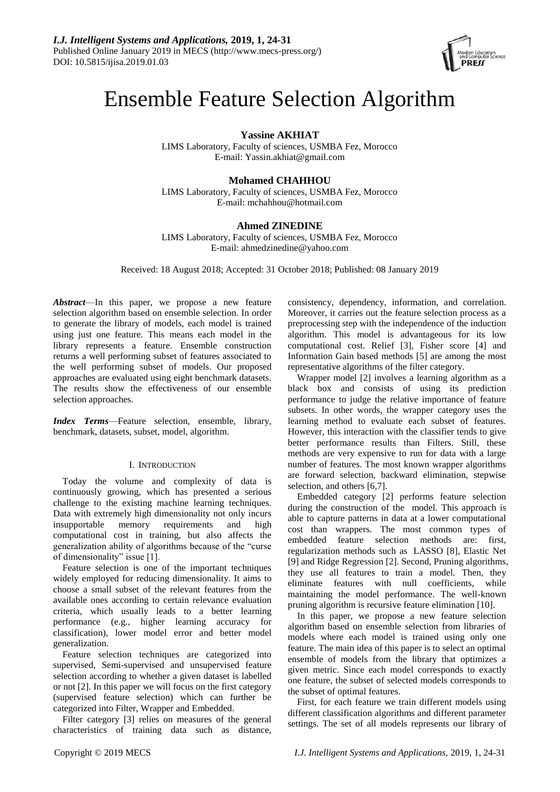

# Ensemble Feature Selection Algorithm

**Yassine AKHIAT**

LIMS Laboratory, Faculty of sciences, USMBA Fez, Morocco E-mail: [Yassin.akhiat@gmail.com](mailto:Yassin.akhiat@gmail.com)

# **Mohamed CHAHHOU**

LIMS Laboratory, Faculty of sciences, USMBA Fez, Morocco E-mail: [mchahhou@hotmail.com](mailto:mchahhou@hotmail.com)

# **Ahmed ZINEDINE**

LIMS Laboratory, Faculty of sciences, USMBA Fez, Morocco E-mail: ahmedzinedine@yahoo.com

Received: 18 August 2018; Accepted: 31 October 2018; Published: 08 January 2019

*Abstract*—In this paper, we propose a new feature selection algorithm based on ensemble selection. In order to generate the library of models, each model is trained using just one feature. This means each model in the library represents a feature. Ensemble construction returns a well performing subset of features associated to the well performing subset of models. Our proposed approaches are evaluated using eight benchmark datasets. The results show the effectiveness of our ensemble selection approaches.

*Index Terms*—Feature selection, ensemble, library, benchmark, datasets, subset, model, algorithm.

# I. INTRODUCTION

Today the volume and complexity of data is continuously growing, which has presented a serious challenge to the existing machine learning techniques. Data with extremely high dimensionality not only incurs insupportable memory requirements and high computational cost in training, but also affects the generalization ability of algorithms because of the "curse of dimensionality" issue [1].

Feature selection is one of the important techniques widely employed for reducing dimensionality. It aims to choose a small subset of the relevant features from the available ones according to certain relevance evaluation criteria, which usually leads to a better learning performance (e.g., higher learning accuracy for classification), lower model error and better model generalization.

Feature selection techniques are categorized into supervised, Semi-supervised and unsupervised feature selection according to whether a given dataset is labelled or not [2]. In this paper we will focus on the first category (supervised feature selection) which can further be categorized into Filter, Wrapper and Embedded.

Filter category [3] relies on measures of the general characteristics of training data such as distance,

consistency, dependency, information, and correlation. Moreover, it carries out the feature selection process as a preprocessing step with the independence of the induction algorithm. This model is advantageous for its low computational cost. Relief [3], Fisher score [4] and Information Gain based methods [5] are among the most representative algorithms of the filter category.

Wrapper model [2] involves a learning algorithm as a black box and consists of using its prediction performance to judge the relative importance of feature subsets. In other words, the wrapper category uses the learning method to evaluate each subset of features. However, this interaction with the classifier tends to give better performance results than Filters. Still, these methods are very expensive to run for data with a large number of features. The most known wrapper algorithms are forward selection, backward elimination, stepwise selection, and others [6,7].

Embedded category [2] performs feature selection during the construction of the model. This approach is able to capture patterns in data at a lower computational cost than wrappers. The most common types of embedded feature selection methods are: first, regularization methods such as LASSO [8], Elastic Net [9] and Ridge Regression [2]. Second, Pruning algorithms, they use all features to train a model. Then, they eliminate features with null coefficients, while maintaining the model performance. The well-known pruning algorithm is recursive feature elimination [10].

In this paper, we propose a new feature selection algorithm based on ensemble selection from libraries of models where each model is trained using only one feature. The main idea of this paper is to select an optimal ensemble of models from the library that optimizes a given metric. Since each model corresponds to exactly one feature, the subset of selected models corresponds to the subset of optimal features.

First, for each feature we train different models using different classification algorithms and different parameter settings. The set of all models represents our library of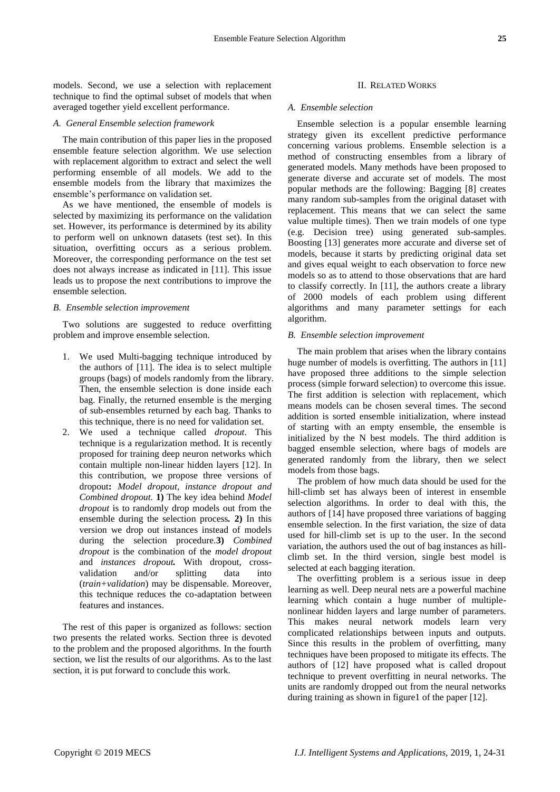models. Second, we use a selection with replacement technique to find the optimal subset of models that when averaged together yield excellent performance.

### *A. General Ensemble selection framework*

The main contribution of this paper lies in the proposed ensemble feature selection algorithm. We use selection with replacement algorithm to extract and select the well performing ensemble of all models. We add to the ensemble models from the library that maximizes the ensemble's performance on validation set.

As we have mentioned, the ensemble of models is selected by maximizing its performance on the validation set. However, its performance is determined by its ability to perform well on unknown datasets (test set). In this situation, overfitting occurs as a serious problem. Moreover, the corresponding performance on the test set does not always increase as indicated in [11]. This issue leads us to propose the next contributions to improve the ensemble selection.

### *B. Ensemble selection improvement*

Two solutions are suggested to reduce overfitting problem and improve ensemble selection.

- 1. We used Multi-bagging technique introduced by the authors of [11]. The idea is to select multiple groups (bags) of models randomly from the library. Then, the ensemble selection is done inside each bag. Finally, the returned ensemble is the merging of sub-ensembles returned by each bag. Thanks to this technique, there is no need for validation set.
- 2. We used a technique called *dropout*. This technique is a regularization method. It is recently proposed for training deep neuron networks which contain multiple non-linear hidden layers [12]. In this contribution, we propose three versions of dropout**:** *Model dropout, instance dropout and Combined dropout.* **1)** The key idea behind *Model dropout* is to randomly drop models out from the ensemble during the selection process*.* **2)** In this version we drop out instances instead of models during the selection procedure.**3)** *Combined dropout* is the combination of the *model dropout* and *instances dropout.* With dropout, crossvalidation and/or splitting data into (*train+validation*) may be dispensable. Moreover, this technique reduces the co-adaptation between features and instances.

The rest of this paper is organized as follows: section two presents the related works. Section three is devoted to the problem and the proposed algorithms. In the fourth section, we list the results of our algorithms. As to the last section, it is put forward to conclude this work.

### II. RELATED WORKS

### *A. Ensemble selection*

Ensemble selection is a popular ensemble learning strategy given its excellent predictive performance concerning various problems. Ensemble selection is a method of constructing ensembles from a library of generated models. Many methods have been proposed to generate diverse and accurate set of models. The most popular methods are the following: Bagging [8] creates many random sub-samples from the original dataset with replacement. This means that we can select the same value multiple times). Then we train models of one type (e.g. Decision tree) using generated sub-samples. Boosting [13] generates more accurate and diverse set of models, because it starts by predicting original data set and gives equal weight to each observation to force new models so as to attend to those observations that are hard to classify correctly. In [11], the authors create a library of 2000 models of each problem using different algorithms and many parameter settings for each algorithm.

### *B. Ensemble selection improvement*

The main problem that arises when the library contains huge number of models is overfitting. The authors in [11] have proposed three additions to the simple selection process (simple forward selection) to overcome this issue. The first addition is selection with replacement, which means models can be chosen several times. The second addition is sorted ensemble initialization, where instead of starting with an empty ensemble, the ensemble is initialized by the N best models. The third addition is bagged ensemble selection, where bags of models are generated randomly from the library, then we select models from those bags.

The problem of how much data should be used for the hill-climb set has always been of interest in ensemble selection algorithms. In order to deal with this, the authors of [14] have proposed three variations of bagging ensemble selection. In the first variation, the size of data used for hill-climb set is up to the user. In the second variation, the authors used the out of bag instances as hillclimb set. In the third version, single best model is selected at each bagging iteration.

The overfitting problem is a serious issue in deep learning as well. Deep neural nets are a powerful machine learning which contain a huge number of multiplenonlinear hidden layers and large number of parameters. This makes neural network models learn very complicated relationships between inputs and outputs. Since this results in the problem of overfitting, many techniques have been proposed to mitigate its effects. The authors of [12] have proposed what is called dropout technique to prevent overfitting in neural networks. The units are randomly dropped out from the neural networks during training as shown in figure1 of the paper [12].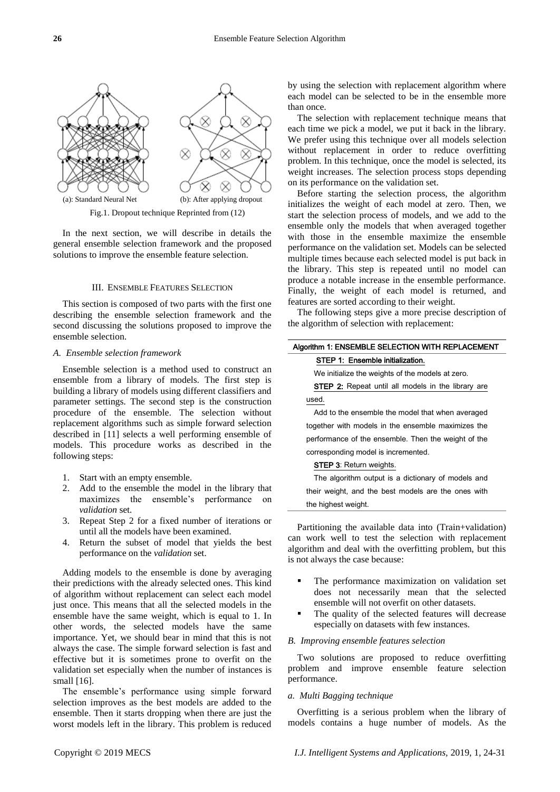

Fig.1. Dropout technique Reprinted from (12)

In the next section, we will describe in details the general ensemble selection framework and the proposed solutions to improve the ensemble feature selection.

### III. ENSEMBLE FEATURES SELECTION

This section is composed of two parts with the first one describing the ensemble selection framework and the second discussing the solutions proposed to improve the ensemble selection.

### *A. Ensemble selection framework*

Ensemble selection is a method used to construct an ensemble from a library of models. The first step is building a library of models using different classifiers and parameter settings. The second step is the construction procedure of the ensemble. The selection without replacement algorithms such as simple forward selection described in [11] selects a well performing ensemble of models. This procedure works as described in the following steps:

- 1. Start with an empty ensemble.
- 2. Add to the ensemble the model in the library that maximizes the ensemble's performance on *validation* set.
- 3. Repeat Step 2 for a fixed number of iterations or until all the models have been examined.
- 4. Return the subset of model that yields the best performance on the *validation* set.

Adding models to the ensemble is done by averaging their predictions with the already selected ones. This kind of algorithm without replacement can select each model just once. This means that all the selected models in the ensemble have the same weight, which is equal to 1. In other words, the selected models have the same importance. Yet, we should bear in mind that this is not always the case. The simple forward selection is fast and effective but it is sometimes prone to overfit on the validation set especially when the number of instances is small [16].

The ensemble's performance using simple forward selection improves as the best models are added to the ensemble. Then it starts dropping when there are just the worst models left in the library. This problem is reduced

by using the selection with replacement algorithm where each model can be selected to be in the ensemble more than once.

The selection with replacement technique means that each time we pick a model, we put it back in the library. We prefer using this technique over all models selection without replacement in order to reduce overfitting problem. In this technique, once the model is selected, its weight increases. The selection process stops depending on its performance on the validation set.

Before starting the selection process, the algorithm initializes the weight of each model at zero. Then, we start the selection process of models, and we add to the ensemble only the models that when averaged together with those in the ensemble maximize the ensemble performance on the validation set. Models can be selected multiple times because each selected model is put back in the library. This step is repeated until no model can produce a notable increase in the ensemble performance. Finally, the weight of each model is returned, and features are sorted according to their weight.

The following steps give a more precise description of the algorithm of selection with replacement:

# Algorithm 1: ENSEMBLE SELECTION WITH REPLACEMENT STEP 1: Ensemble initialization.

We initialize the weights of the models at zero.

STEP 2: Repeat until all models in the library are used.

Add to the ensemble the model that when averaged together with models in the ensemble maximizes the performance of the ensemble. Then the weight of the corresponding model is incremented.

# STEP 3: Return weights.

The algorithm output is a dictionary of models and their weight, and the best models are the ones with the highest weight.

Partitioning the available data into (Train+validation) can work well to test the selection with replacement algorithm and deal with the overfitting problem, but this is not always the case because:

- The performance maximization on validation set does not necessarily mean that the selected ensemble will not overfit on other datasets.
- The quality of the selected features will decrease especially on datasets with few instances.

### *B. Improving ensemble features selection*

Two solutions are proposed to reduce overfitting problem and improve ensemble feature selection performance.

### *a. Multi Bagging technique*

Overfitting is a serious problem when the library of models contains a huge number of models. As the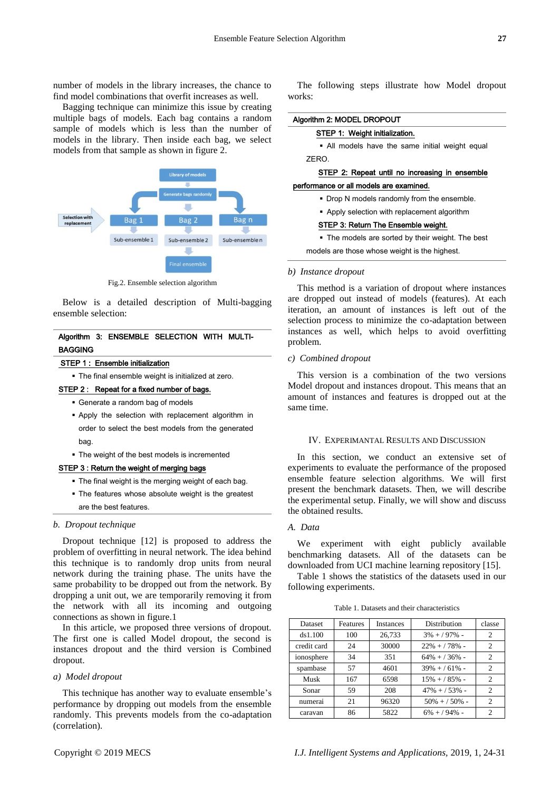number of models in the library increases, the chance to find model combinations that overfit increases as well.

Bagging technique can minimize this issue by creating multiple bags of models. Each bag contains a random sample of models which is less than the number of models in the library. Then inside each bag, we select models from that sample as shown in figure 2.



Fig.2. Ensemble selection algorithm

Below is a detailed description of Multi-bagging ensemble selection:

# Algorithm 3: ENSEMBLE SELECTION WITH MULTI-BAGGING

### STEP 1 : Ensemble initialization

The final ensemble weight is initialized at zero.

### STEP 2 : Repeat for a fixed number of bags.

- Generate a random bag of models
- Apply the selection with replacement algorithm in order to select the best models from the generated hag
- The weight of the best models is incremented

# STEP 3 : Return the weight of merging bags

- The final weight is the merging weight of each bag.
- The features whose absolute weight is the greatest are the best features.

### *b. Dropout technique*

Dropout technique [12] is proposed to address the problem of overfitting in neural network. The idea behind this technique is to randomly drop units from neural network during the training phase. The units have the same probability to be dropped out from the network. By dropping a unit out, we are temporarily removing it from the network with all its incoming and outgoing connections as shown in figure.1

In this article, we proposed three versions of dropout. The first one is called Model dropout, the second is instances dropout and the third version is Combined dropout.

### *a) Model dropout*

This technique has another way to evaluate ensemble's performance by dropping out models from the ensemble randomly. This prevents models from the co-adaptation (correlation).

The following steps illustrate how Model dropout works:

### Algorithm 2: MODEL DROPOUT

### STEP 1: Weight initialization.

 All models have the same initial weight equal ZERO.

# STEP 2: Repeat until no increasing in ensemble

# performance or all models are examined.

- Drop N models randomly from the ensemble.
- Apply selection with replacement algorithm

### STEP 3: Return The Ensemble weight.

• The models are sorted by their weight. The best

models are those whose weight is the highest.

### *b) Instance dropout*

This method is a variation of dropout where instances are dropped out instead of models (features). At each iteration, an amount of instances is left out of the selection process to minimize the co-adaptation between instances as well, which helps to avoid overfitting problem.

### *c) Combined dropout*

This version is a combination of the two versions Model dropout and instances dropout. This means that an amount of instances and features is dropped out at the same time.

### IV. EXPERIMANTAL RESULTS AND DISCUSSION

In this section, we conduct an extensive set of experiments to evaluate the performance of the proposed ensemble feature selection algorithms. We will first present the benchmark datasets. Then, we will describe the experimental setup. Finally, we will show and discuss the obtained results.

### *A. Data*

We experiment with eight publicly available benchmarking datasets. All of the datasets can be downloaded from UCI machine learning repository [15].

Table 1 shows the statistics of the datasets used in our following experiments.

Table 1. Datasets and their characteristics

| <b>Dataset</b> | Features | <b>Instances</b> | Distribution    | classe |
|----------------|----------|------------------|-----------------|--------|
| ds1.100        | 100      | 26,733           | $3\% + 97\%$ -  | 2      |
| credit card    | 24       | 30000            | $22\% + 78\%$ - | 2      |
| ionosphere     | 34       | 351              | $64\% + 36\%$ - | 2      |
| spambase       | 57       | 4601             | $39\% + 61\%$ - | 2      |
| Musk           | 167      | 6598             | $15\% + 85\%$ - | 2      |
| Sonar          | 59       | 208              | $47\% + 53\%$ - | 2      |
| numerai        | 21       | 96320            | $50\% + 50\%$ - | 2      |
| caravan        | 86       | 5822             | $6\% + 94\%$ -  | 2      |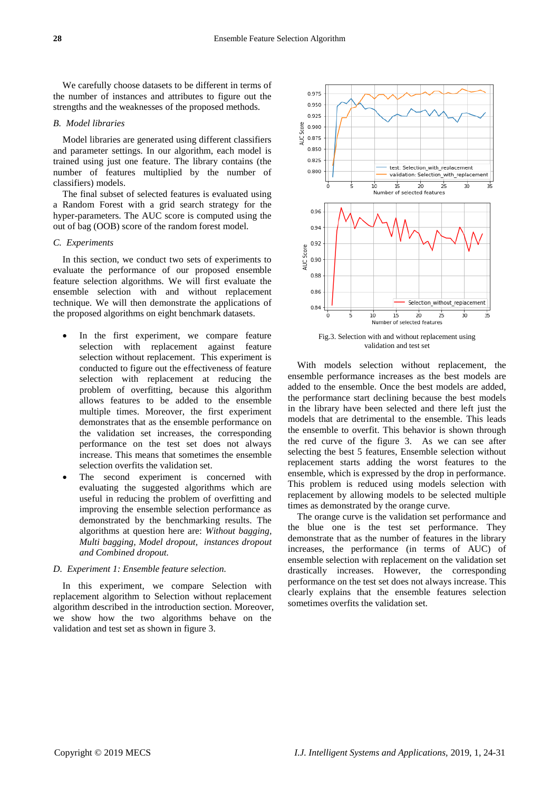We carefully choose datasets to be different in terms of the number of instances and attributes to figure out the strengths and the weaknesses of the proposed methods.

### *B. Model libraries*

Model libraries are generated using different classifiers and parameter settings. In our algorithm, each model is trained using just one feature. The library contains (the number of features multiplied by the number of classifiers) models.

The final subset of selected features is evaluated using a Random Forest with a grid search strategy for the hyper-parameters. The AUC score is computed using the out of bag (OOB) score of the random forest model.

# *C. Experiments*

In this section, we conduct two sets of experiments to evaluate the performance of our proposed ensemble feature selection algorithms. We will first evaluate the ensemble selection with and without replacement technique. We will then demonstrate the applications of the proposed algorithms on eight benchmark datasets.

- In the first experiment, we compare feature selection with replacement against feature selection without replacement. This experiment is conducted to figure out the effectiveness of feature selection with replacement at reducing the problem of overfitting, because this algorithm allows features to be added to the ensemble multiple times. Moreover, the first experiment demonstrates that as the ensemble performance on the validation set increases, the corresponding performance on the test set does not always increase. This means that sometimes the ensemble selection overfits the validation set.
- The second experiment is concerned with evaluating the suggested algorithms which are useful in reducing the problem of overfitting and improving the ensemble selection performance as demonstrated by the benchmarking results. The algorithms at question here are: *Without bagging, Multi bagging, Model dropout, instances dropout and Combined dropout.*

### *D. Experiment 1: Ensemble feature selection.*

In this experiment, we compare Selection with replacement algorithm to Selection without replacement algorithm described in the introduction section. Moreover, we show how the two algorithms behave on the validation and test set as shown in figure 3.



Fig.3. Selection with and without replacement using validation and test set

With models selection without replacement, the ensemble performance increases as the best models are added to the ensemble. Once the best models are added, the performance start declining because the best models in the library have been selected and there left just the models that are detrimental to the ensemble. This leads the ensemble to overfit. This behavior is shown through the red curve of the figure 3. As we can see after selecting the best 5 features, Ensemble selection without replacement starts adding the worst features to the ensemble, which is expressed by the drop in performance. This problem is reduced using models selection with replacement by allowing models to be selected multiple times as demonstrated by the orange curve.

The orange curve is the validation set performance and the blue one is the test set performance. They demonstrate that as the number of features in the library increases, the performance (in terms of AUC) of ensemble selection with replacement on the validation set drastically increases. However, the corresponding performance on the test set does not always increase. This clearly explains that the ensemble features selection sometimes overfits the validation set.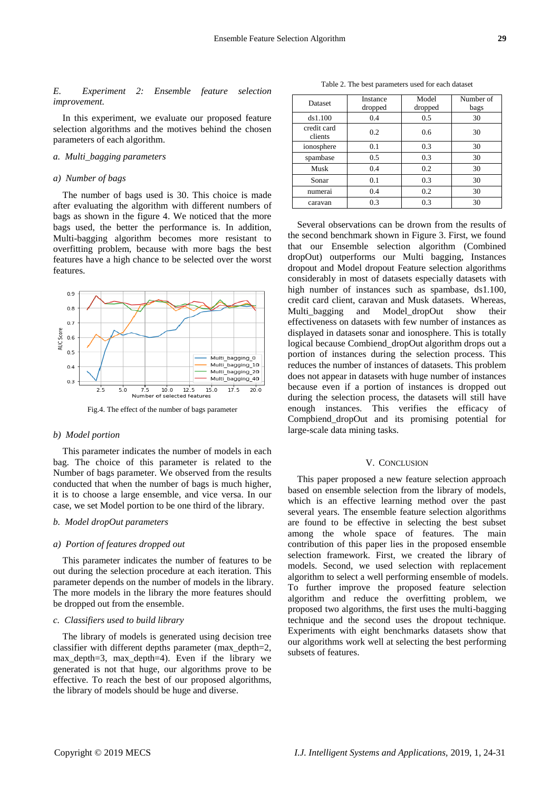*E. Experiment 2: Ensemble feature selection improvement.*

In this experiment, we evaluate our proposed feature selection algorithms and the motives behind the chosen parameters of each algorithm.

## *a. Multi\_bagging parameters*

### *a) Number of bags*

The number of bags used is 30. This choice is made after evaluating the algorithm with different numbers of bags as shown in the figure 4. We noticed that the more bags used, the better the performance is. In addition, Multi-bagging algorithm becomes more resistant to overfitting problem, because with more bags the best features have a high chance to be selected over the worst features.



Fig.4. The effect of the number of bags parameter

#### *b) Model portion*

This parameter indicates the number of models in each bag. The choice of this parameter is related to the Number of bags parameter. We observed from the results conducted that when the number of bags is much higher, it is to choose a large ensemble, and vice versa. In our case, we set Model portion to be one third of the library.

# *b. Model dropOut parameters*

### *a) Portion of features dropped out*

This parameter indicates the number of features to be out during the selection procedure at each iteration. This parameter depends on the number of models in the library. The more models in the library the more features should be dropped out from the ensemble.

### *c. Classifiers used to build library*

The library of models is generated using decision tree classifier with different depths parameter (max\_depth=2, max\_depth=3, max\_depth=4). Even if the library we generated is not that huge, our algorithms prove to be effective. To reach the best of our proposed algorithms, the library of models should be huge and diverse.

Table 2. The best parameters used for each dataset

| <b>Dataset</b>         | Instance<br>dropped | Model<br>dropped | Number of<br>bags |
|------------------------|---------------------|------------------|-------------------|
| ds1.100                | 0.4                 | 0.5              | 30                |
| credit card<br>clients | 0.2                 | 0.6              | 30                |
| ionosphere             | 0.1                 | 0.3              | 30                |
| spambase               | 0.5                 | 0.3              | 30                |
| Musk                   | 0.4                 | 0.2              | 30                |
| Sonar                  | 0.1                 | 0.3              | 30                |
| numerai                | 0.4                 | 0.2              | 30                |
| caravan                | 0.3                 | 0.3              | 30                |

Several observations can be drown from the results of the second benchmark shown in Figure 3. First, we found that our Ensemble selection algorithm (Combined dropOut) outperforms our Multi bagging, Instances dropout and Model dropout Feature selection algorithms considerably in most of datasets especially datasets with high number of instances such as spambase, ds1.100, credit card client, caravan and Musk datasets. Whereas, Multi bagging and Model dropOut show their effectiveness on datasets with few number of instances as displayed in datasets sonar and ionosphere. This is totally logical because Combiend\_dropOut algorithm drops out a portion of instances during the selection process. This reduces the number of instances of datasets. This problem does not appear in datasets with huge number of instances because even if a portion of instances is dropped out during the selection process, the datasets will still have enough instances. This verifies the efficacy of Compbiend\_dropOut and its promising potential for large-scale data mining tasks.

### V. CONCLUSION

This paper proposed a new feature selection approach based on ensemble selection from the library of models, which is an effective learning method over the past several years. The ensemble feature selection algorithms are found to be effective in selecting the best subset among the whole space of features. The main contribution of this paper lies in the proposed ensemble selection framework. First, we created the library of models. Second, we used selection with replacement algorithm to select a well performing ensemble of models. To further improve the proposed feature selection algorithm and reduce the overfitting problem, we proposed two algorithms, the first uses the multi-bagging technique and the second uses the dropout technique. Experiments with eight benchmarks datasets show that our algorithms work well at selecting the best performing subsets of features.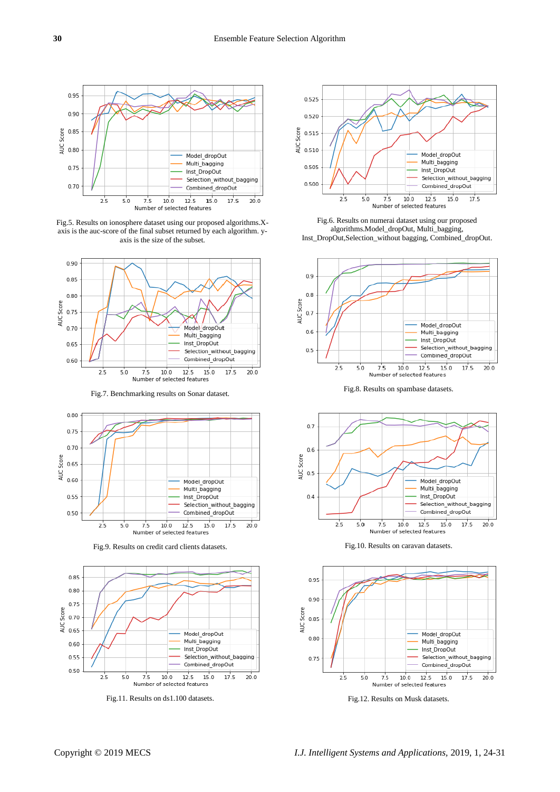

Fig.5. Results on ionosphere dataset using our proposed algorithms.Xaxis is the auc-score of the final subset returned by each algorithm. yaxis is the size of the subset.





Fig.9. Results on credit card clients datasets. Fig.10. Results on caravan datasets.



Fig.11. Results on ds1.100 datasets. Fig.12. Results on Musk datasets.



Fig.6. Results on numerai dataset using our proposed algorithms.Model\_dropOut, Multi\_bagging, Inst\_DropOut,Selection\_without bagging, Combined\_dropOut.